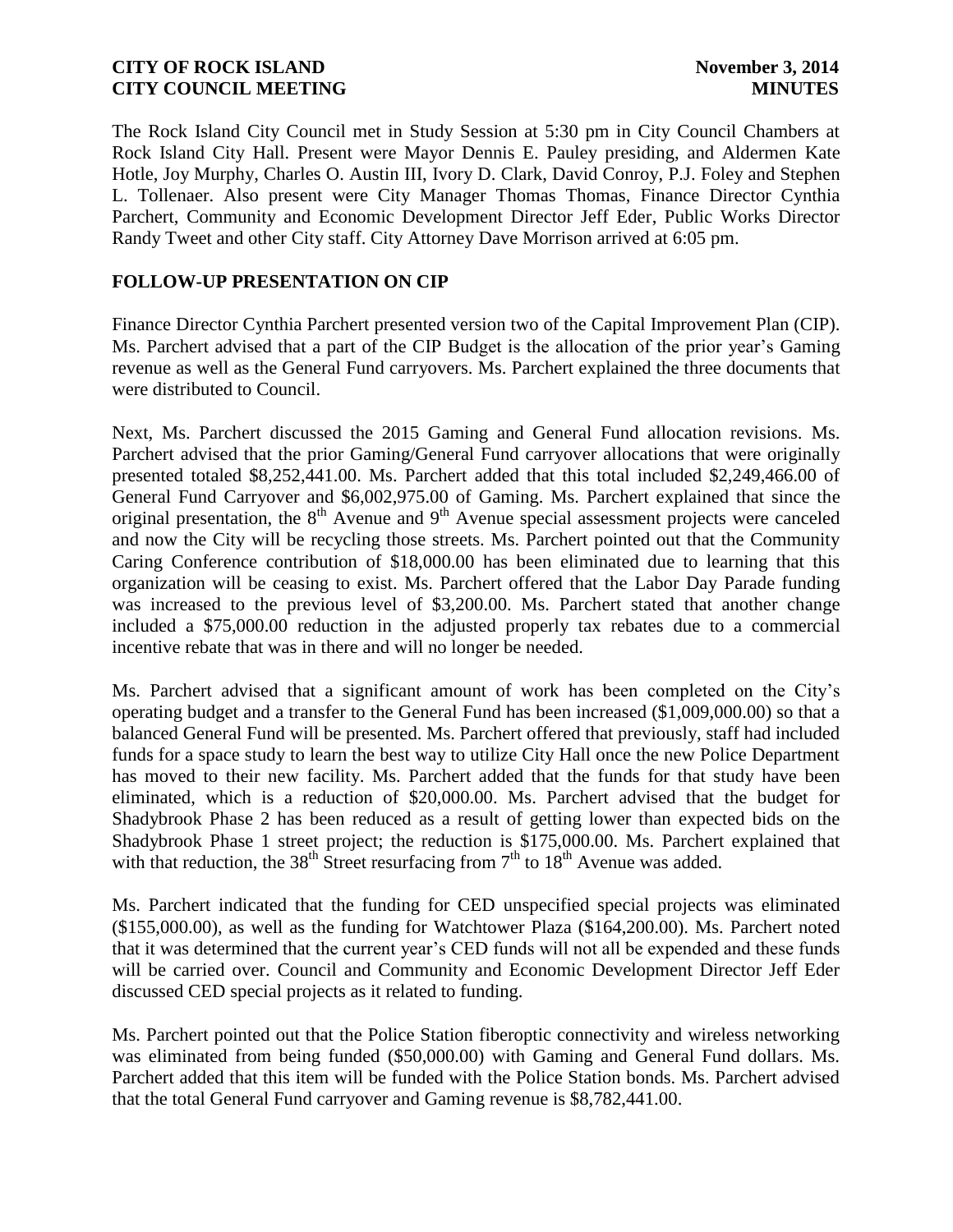The Rock Island City Council met in Study Session at 5:30 pm in City Council Chambers at Rock Island City Hall. Present were Mayor Dennis E. Pauley presiding, and Aldermen Kate Hotle, Joy Murphy, Charles O. Austin III, Ivory D. Clark, David Conroy, P.J. Foley and Stephen L. Tollenaer. Also present were City Manager Thomas Thomas, Finance Director Cynthia Parchert, Community and Economic Development Director Jeff Eder, Public Works Director Randy Tweet and other City staff. City Attorney Dave Morrison arrived at 6:05 pm.

# **FOLLOW-UP PRESENTATION ON CIP**

Finance Director Cynthia Parchert presented version two of the Capital Improvement Plan (CIP). Ms. Parchert advised that a part of the CIP Budget is the allocation of the prior year's Gaming revenue as well as the General Fund carryovers. Ms. Parchert explained the three documents that were distributed to Council.

Next, Ms. Parchert discussed the 2015 Gaming and General Fund allocation revisions. Ms. Parchert advised that the prior Gaming/General Fund carryover allocations that were originally presented totaled \$8,252,441.00. Ms. Parchert added that this total included \$2,249,466.00 of General Fund Carryover and \$6,002,975.00 of Gaming. Ms. Parchert explained that since the original presentation, the  $8<sup>th</sup>$  Avenue and  $9<sup>th</sup>$  Avenue special assessment projects were canceled and now the City will be recycling those streets. Ms. Parchert pointed out that the Community Caring Conference contribution of \$18,000.00 has been eliminated due to learning that this organization will be ceasing to exist. Ms. Parchert offered that the Labor Day Parade funding was increased to the previous level of \$3,200.00. Ms. Parchert stated that another change included a \$75,000.00 reduction in the adjusted properly tax rebates due to a commercial incentive rebate that was in there and will no longer be needed.

Ms. Parchert advised that a significant amount of work has been completed on the City's operating budget and a transfer to the General Fund has been increased (\$1,009,000.00) so that a balanced General Fund will be presented. Ms. Parchert offered that previously, staff had included funds for a space study to learn the best way to utilize City Hall once the new Police Department has moved to their new facility. Ms. Parchert added that the funds for that study have been eliminated, which is a reduction of \$20,000.00. Ms. Parchert advised that the budget for Shadybrook Phase 2 has been reduced as a result of getting lower than expected bids on the Shadybrook Phase 1 street project; the reduction is \$175,000.00. Ms. Parchert explained that with that reduction, the 38<sup>th</sup> Street resurfacing from  $7<sup>th</sup>$  to 18<sup>th</sup> Avenue was added.

Ms. Parchert indicated that the funding for CED unspecified special projects was eliminated (\$155,000.00), as well as the funding for Watchtower Plaza (\$164,200.00). Ms. Parchert noted that it was determined that the current year's CED funds will not all be expended and these funds will be carried over. Council and Community and Economic Development Director Jeff Eder discussed CED special projects as it related to funding.

Ms. Parchert pointed out that the Police Station fiberoptic connectivity and wireless networking was eliminated from being funded (\$50,000.00) with Gaming and General Fund dollars. Ms. Parchert added that this item will be funded with the Police Station bonds. Ms. Parchert advised that the total General Fund carryover and Gaming revenue is \$8,782,441.00.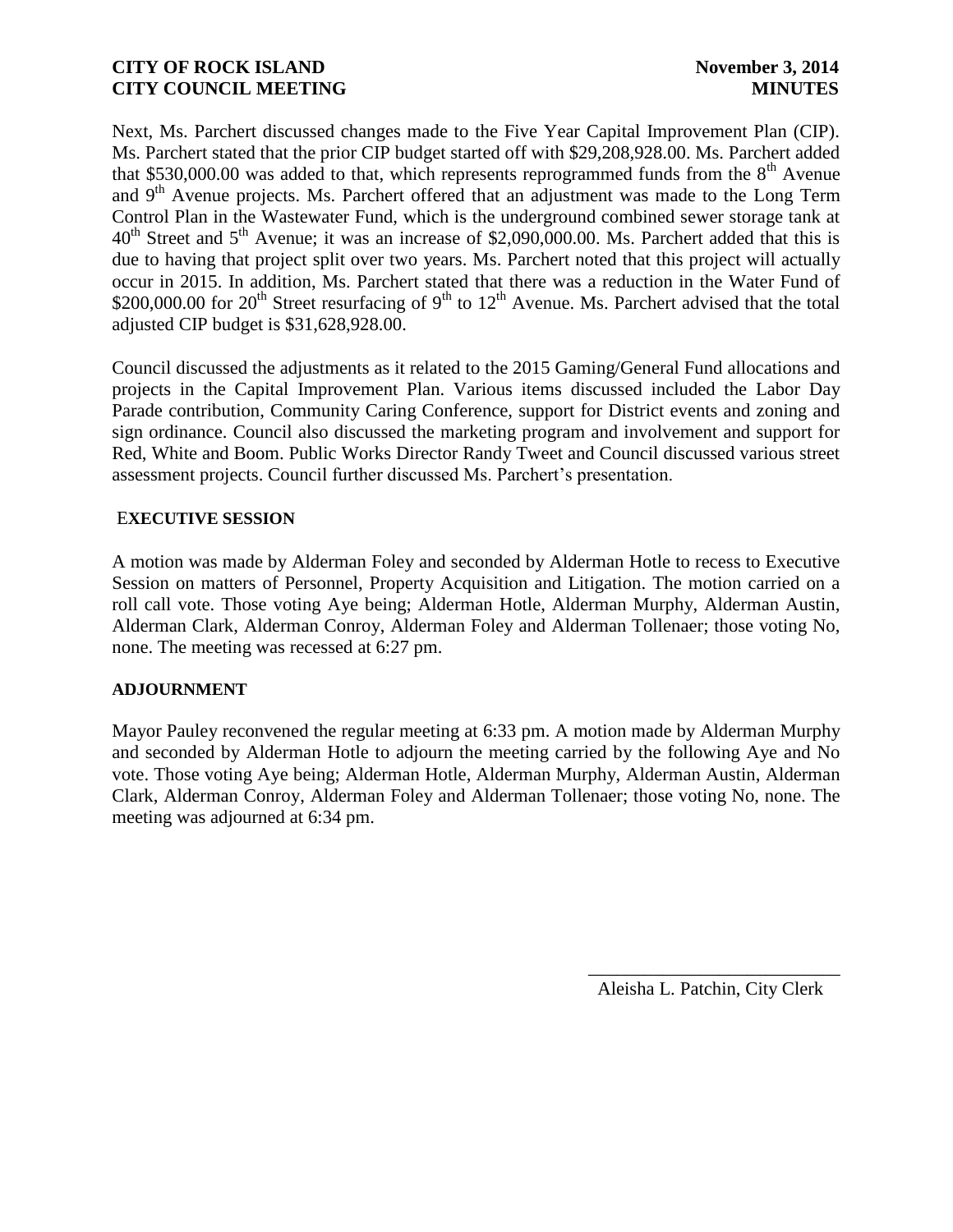Next, Ms. Parchert discussed changes made to the Five Year Capital Improvement Plan (CIP). Ms. Parchert stated that the prior CIP budget started off with \$29,208,928.00. Ms. Parchert added that \$530,000.00 was added to that, which represents reprogrammed funds from the  $8<sup>th</sup>$  Avenue and  $9<sup>th</sup>$  Avenue projects. Ms. Parchert offered that an adjustment was made to the Long Term Control Plan in the Wastewater Fund, which is the underground combined sewer storage tank at 40<sup>th</sup> Street and 5<sup>th</sup> Avenue; it was an increase of \$2,090,000.00. Ms. Parchert added that this is due to having that project split over two years. Ms. Parchert noted that this project will actually occur in 2015. In addition, Ms. Parchert stated that there was a reduction in the Water Fund of \$200,000.00 for  $20^{th}$  Street resurfacing of  $9^{th}$  to  $12^{th}$  Avenue. Ms. Parchert advised that the total adjusted CIP budget is \$31,628,928.00.

Council discussed the adjustments as it related to the 2015 Gaming/General Fund allocations and projects in the Capital Improvement Plan. Various items discussed included the Labor Day Parade contribution, Community Caring Conference, support for District events and zoning and sign ordinance. Council also discussed the marketing program and involvement and support for Red, White and Boom. Public Works Director Randy Tweet and Council discussed various street assessment projects. Council further discussed Ms. Parchert's presentation.

### E**XECUTIVE SESSION**

A motion was made by Alderman Foley and seconded by Alderman Hotle to recess to Executive Session on matters of Personnel, Property Acquisition and Litigation. The motion carried on a roll call vote. Those voting Aye being; Alderman Hotle, Alderman Murphy, Alderman Austin, Alderman Clark, Alderman Conroy, Alderman Foley and Alderman Tollenaer; those voting No, none. The meeting was recessed at 6:27 pm.

### **ADJOURNMENT**

Mayor Pauley reconvened the regular meeting at 6:33 pm. A motion made by Alderman Murphy and seconded by Alderman Hotle to adjourn the meeting carried by the following Aye and No vote. Those voting Aye being; Alderman Hotle, Alderman Murphy, Alderman Austin, Alderman Clark, Alderman Conroy, Alderman Foley and Alderman Tollenaer; those voting No, none. The meeting was adjourned at 6:34 pm.

Aleisha L. Patchin, City Clerk

 $\frac{1}{2}$  ,  $\frac{1}{2}$  ,  $\frac{1}{2}$  ,  $\frac{1}{2}$  ,  $\frac{1}{2}$  ,  $\frac{1}{2}$  ,  $\frac{1}{2}$  ,  $\frac{1}{2}$  ,  $\frac{1}{2}$  ,  $\frac{1}{2}$  ,  $\frac{1}{2}$  ,  $\frac{1}{2}$  ,  $\frac{1}{2}$  ,  $\frac{1}{2}$  ,  $\frac{1}{2}$  ,  $\frac{1}{2}$  ,  $\frac{1}{2}$  ,  $\frac{1}{2}$  ,  $\frac{1$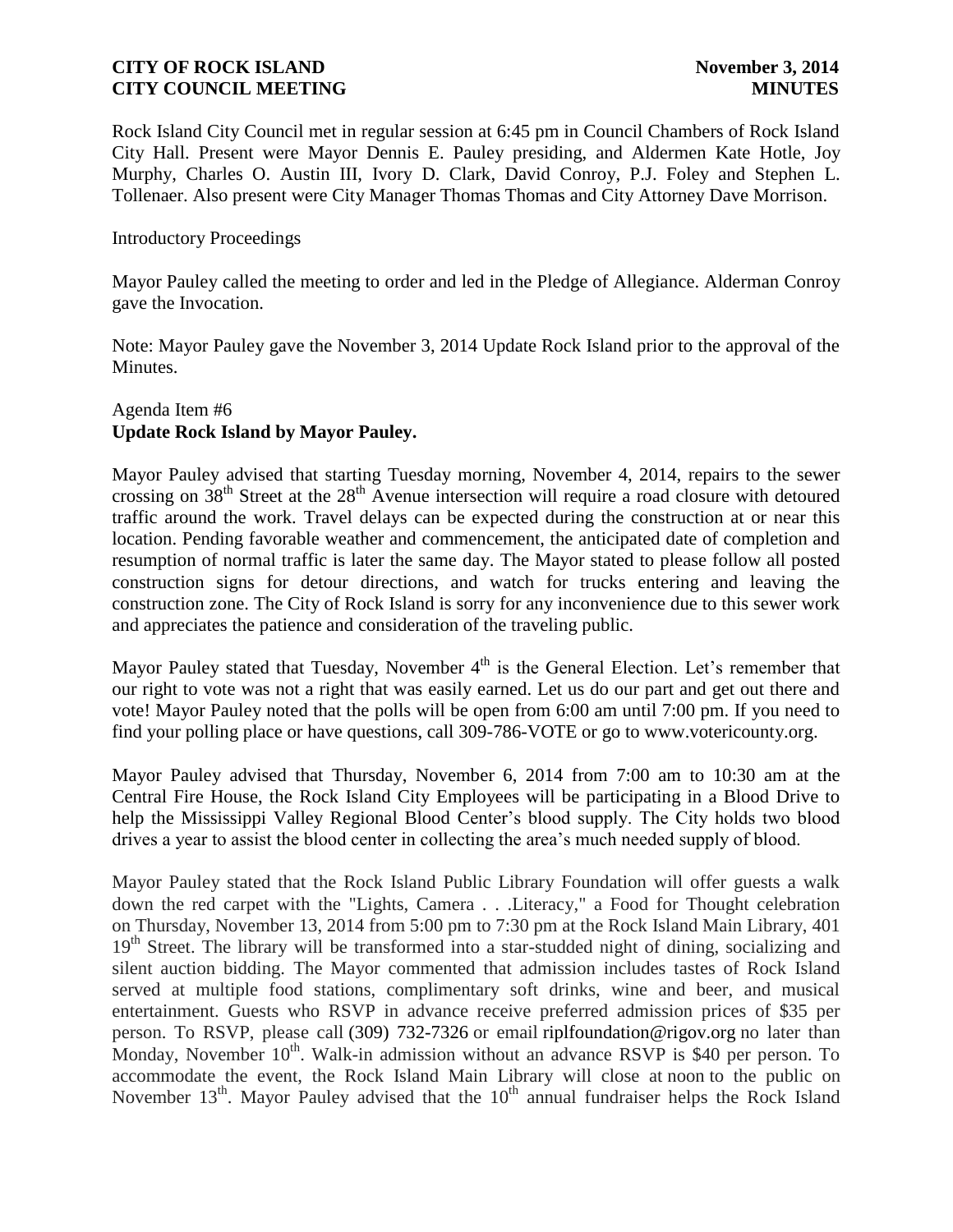Rock Island City Council met in regular session at 6:45 pm in Council Chambers of Rock Island City Hall. Present were Mayor Dennis E. Pauley presiding, and Aldermen Kate Hotle, Joy Murphy, Charles O. Austin III, Ivory D. Clark, David Conroy, P.J. Foley and Stephen L. Tollenaer. Also present were City Manager Thomas Thomas and City Attorney Dave Morrison.

#### Introductory Proceedings

Mayor Pauley called the meeting to order and led in the Pledge of Allegiance. Alderman Conroy gave the Invocation.

Note: Mayor Pauley gave the November 3, 2014 Update Rock Island prior to the approval of the Minutes.

### Agenda Item #6 **Update Rock Island by Mayor Pauley.**

Mayor Pauley advised that starting Tuesday morning, November 4, 2014, repairs to the sewer crossing on  $38<sup>th</sup>$  Street at the  $28<sup>th</sup>$  Avenue intersection will require a road closure with detoured traffic around the work. Travel delays can be expected during the construction at or near this location. Pending favorable weather and commencement, the anticipated date of completion and resumption of normal traffic is later the same day. The Mayor stated to please follow all posted construction signs for detour directions, and watch for trucks entering and leaving the construction zone. The City of Rock Island is sorry for any inconvenience due to this sewer work and appreciates the patience and consideration of the traveling public.

Mayor Pauley stated that Tuesday, November  $4<sup>th</sup>$  is the General Election. Let's remember that our right to vote was not a right that was easily earned. Let us do our part and get out there and vote! Mayor Pauley noted that the polls will be open from 6:00 am until 7:00 pm. If you need to find your polling place or have questions, call 309-786-VOTE or go to www.votericounty.org.

Mayor Pauley advised that Thursday, November 6, 2014 from 7:00 am to 10:30 am at the Central Fire House, the Rock Island City Employees will be participating in a Blood Drive to help the Mississippi Valley Regional Blood Center's blood supply. The City holds two blood drives a year to assist the blood center in collecting the area's much needed supply of blood.

Mayor Pauley stated that the Rock Island Public Library Foundation will offer guests a walk down the red carpet with the "Lights, Camera . . .Literacy," a Food for Thought celebration on Thursday, November 13, 2014 from 5:00 pm to 7:30 pm at the Rock Island Main Library, 401 19<sup>th</sup> Street. The library will be transformed into a star-studded night of dining, socializing and silent auction bidding. The Mayor commented that admission includes tastes of Rock Island served at multiple food stations, complimentary soft drinks, wine and beer, and musical entertainment. Guests who RSVP in advance receive preferred admission prices of \$35 per person. To RSVP, please call [\(309\) 732-7326](mailto:309)%20732-7326) or email riplfoundation@rigov.org no later than Monday, November 10<sup>th</sup>. Walk-in admission without an advance RSVP is \$40 per person. To accommodate the event, the Rock Island Main Library will close at noon to the public on November  $13<sup>th</sup>$ . Mayor Pauley advised that the  $10<sup>th</sup>$  annual fundraiser helps the Rock Island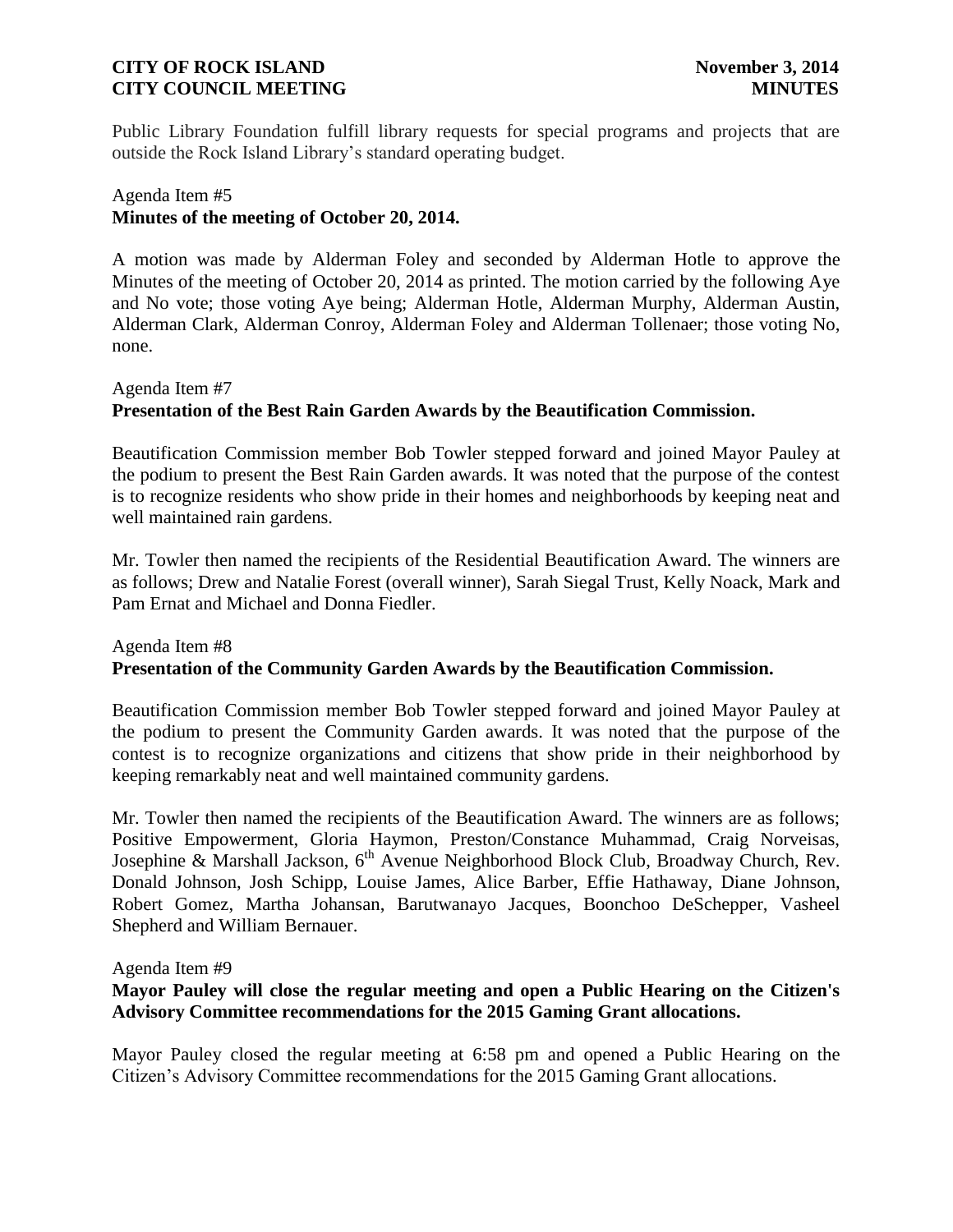Public Library Foundation fulfill library requests for special programs and projects that are outside the Rock Island Library's standard operating budget.

# Agenda Item #5 **Minutes of the meeting of October 20, 2014.**

A motion was made by Alderman Foley and seconded by Alderman Hotle to approve the Minutes of the meeting of October 20, 2014 as printed. The motion carried by the following Aye and No vote; those voting Aye being; Alderman Hotle, Alderman Murphy, Alderman Austin, Alderman Clark, Alderman Conroy, Alderman Foley and Alderman Tollenaer; those voting No, none.

# Agenda Item #7 **Presentation of the Best Rain Garden Awards by the Beautification Commission.**

Beautification Commission member Bob Towler stepped forward and joined Mayor Pauley at the podium to present the Best Rain Garden awards. It was noted that the purpose of the contest is to recognize residents who show pride in their homes and neighborhoods by keeping neat and well maintained rain gardens.

Mr. Towler then named the recipients of the Residential Beautification Award. The winners are as follows; Drew and Natalie Forest (overall winner), Sarah Siegal Trust, Kelly Noack, Mark and Pam Ernat and Michael and Donna Fiedler.

#### Agenda Item #8 **Presentation of the Community Garden Awards by the Beautification Commission.**

Beautification Commission member Bob Towler stepped forward and joined Mayor Pauley at the podium to present the Community Garden awards. It was noted that the purpose of the contest is to recognize organizations and citizens that show pride in their neighborhood by keeping remarkably neat and well maintained community gardens.

Mr. Towler then named the recipients of the Beautification Award. The winners are as follows; Positive Empowerment, Gloria Haymon, Preston/Constance Muhammad, Craig Norveisas, Josephine & Marshall Jackson,  $6<sup>th</sup>$  Avenue Neighborhood Block Club, Broadway Church, Rev. Donald Johnson, Josh Schipp, Louise James, Alice Barber, Effie Hathaway, Diane Johnson, Robert Gomez, Martha Johansan, Barutwanayo Jacques, Boonchoo DeSchepper, Vasheel Shepherd and William Bernauer.

### Agenda Item #9

# **Mayor Pauley will close the regular meeting and open a Public Hearing on the Citizen's Advisory Committee recommendations for the 2015 Gaming Grant allocations.**

Mayor Pauley closed the regular meeting at 6:58 pm and opened a Public Hearing on the Citizen's Advisory Committee recommendations for the 2015 Gaming Grant allocations.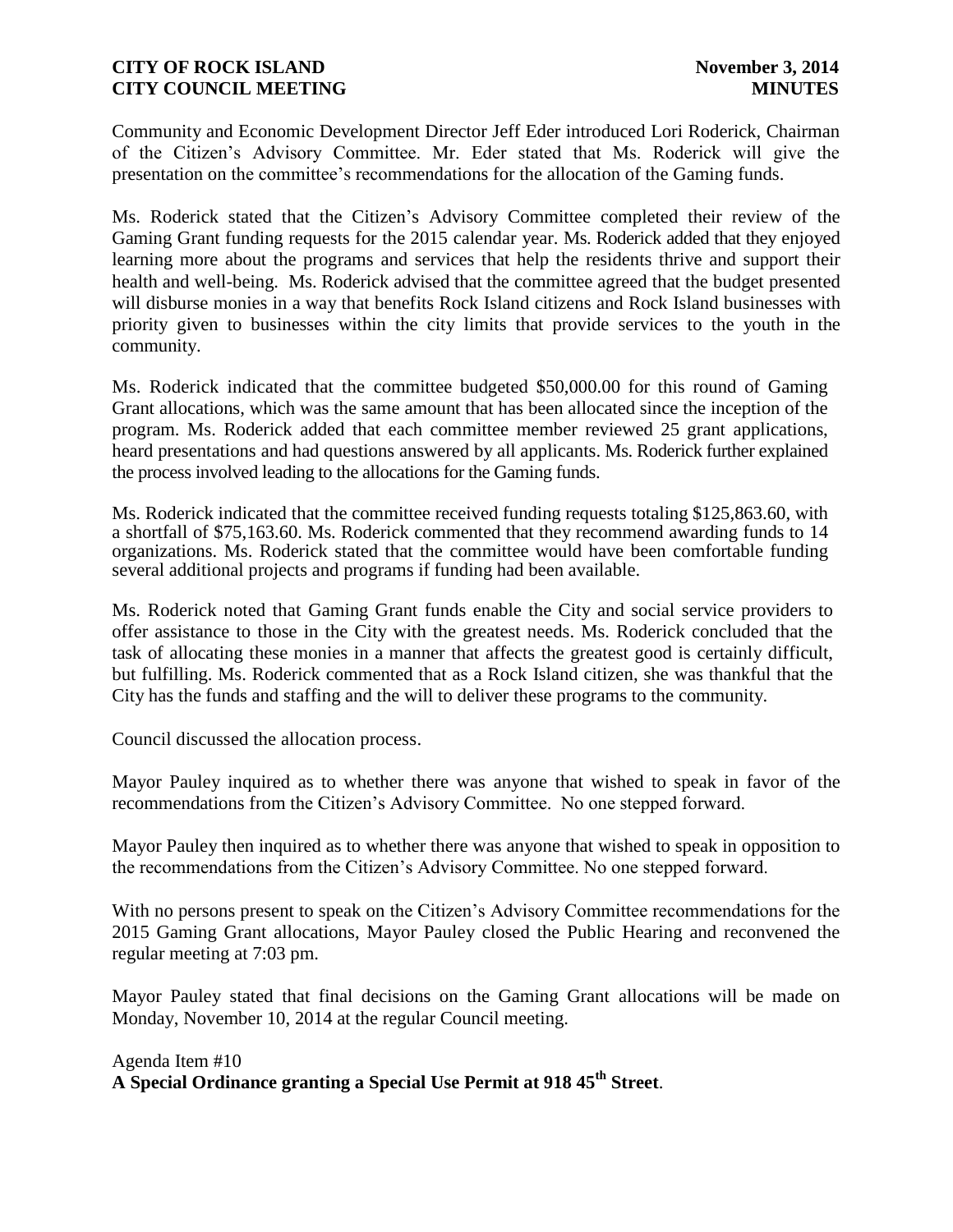Community and Economic Development Director Jeff Eder introduced Lori Roderick, Chairman of the Citizen's Advisory Committee. Mr. Eder stated that Ms. Roderick will give the presentation on the committee's recommendations for the allocation of the Gaming funds.

Ms. Roderick stated that the Citizen's Advisory Committee completed their review of the Gaming Grant funding requests for the 2015 calendar year. Ms. Roderick added that they enjoyed learning more about the programs and services that help the residents thrive and support their health and well-being. Ms. Roderick advised that the committee agreed that the budget presented will disburse monies in a way that benefits Rock Island citizens and Rock Island businesses with priority given to businesses within the city limits that provide services to the youth in the community.

Ms. Roderick indicated that the committee budgeted \$50,000.00 for this round of Gaming Grant allocations, which was the same amount that has been allocated since the inception of the program. Ms. Roderick added that each committee member reviewed 25 grant applications, heard presentations and had questions answered by all applicants. Ms. Roderick further explained the process involved leading to the allocations for the Gaming funds.

Ms. Roderick indicated that the committee received funding requests totaling \$125,863.60, with a shortfall of \$75,163.60. Ms. Roderick commented that they recommend awarding funds to 14 organizations. Ms. Roderick stated that the committee would have been comfortable funding several additional projects and programs if funding had been available.

Ms. Roderick noted that Gaming Grant funds enable the City and social service providers to offer assistance to those in the City with the greatest needs. Ms. Roderick concluded that the task of allocating these monies in a manner that affects the greatest good is certainly difficult, but fulfilling. Ms. Roderick commented that as a Rock Island citizen, she was thankful that the City has the funds and staffing and the will to deliver these programs to the community.

Council discussed the allocation process.

Mayor Pauley inquired as to whether there was anyone that wished to speak in favor of the recommendations from the Citizen's Advisory Committee. No one stepped forward.

Mayor Pauley then inquired as to whether there was anyone that wished to speak in opposition to the recommendations from the Citizen's Advisory Committee. No one stepped forward.

With no persons present to speak on the Citizen's Advisory Committee recommendations for the 2015 Gaming Grant allocations, Mayor Pauley closed the Public Hearing and reconvened the regular meeting at 7:03 pm.

Mayor Pauley stated that final decisions on the Gaming Grant allocations will be made on Monday, November 10, 2014 at the regular Council meeting.

Agenda Item #10 **A Special Ordinance granting a Special Use Permit at 918 45th Street**.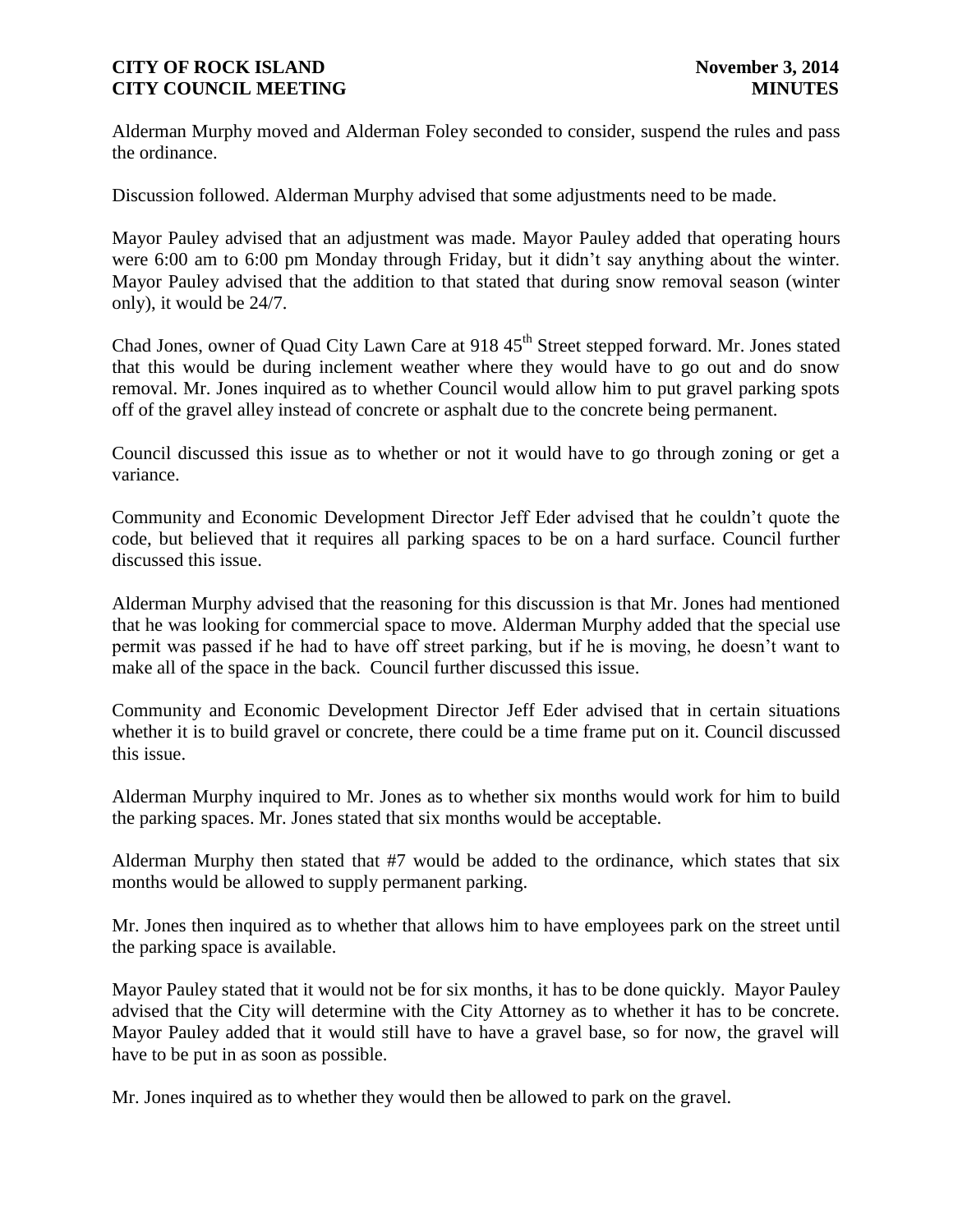Alderman Murphy moved and Alderman Foley seconded to consider, suspend the rules and pass the ordinance.

Discussion followed. Alderman Murphy advised that some adjustments need to be made.

Mayor Pauley advised that an adjustment was made. Mayor Pauley added that operating hours were 6:00 am to 6:00 pm Monday through Friday, but it didn't say anything about the winter. Mayor Pauley advised that the addition to that stated that during snow removal season (winter only), it would be 24/7.

Chad Jones, owner of Quad City Lawn Care at 918 45<sup>th</sup> Street stepped forward. Mr. Jones stated that this would be during inclement weather where they would have to go out and do snow removal. Mr. Jones inquired as to whether Council would allow him to put gravel parking spots off of the gravel alley instead of concrete or asphalt due to the concrete being permanent.

Council discussed this issue as to whether or not it would have to go through zoning or get a variance.

Community and Economic Development Director Jeff Eder advised that he couldn't quote the code, but believed that it requires all parking spaces to be on a hard surface. Council further discussed this issue.

Alderman Murphy advised that the reasoning for this discussion is that Mr. Jones had mentioned that he was looking for commercial space to move. Alderman Murphy added that the special use permit was passed if he had to have off street parking, but if he is moving, he doesn't want to make all of the space in the back. Council further discussed this issue.

Community and Economic Development Director Jeff Eder advised that in certain situations whether it is to build gravel or concrete, there could be a time frame put on it. Council discussed this issue.

Alderman Murphy inquired to Mr. Jones as to whether six months would work for him to build the parking spaces. Mr. Jones stated that six months would be acceptable.

Alderman Murphy then stated that #7 would be added to the ordinance, which states that six months would be allowed to supply permanent parking.

Mr. Jones then inquired as to whether that allows him to have employees park on the street until the parking space is available.

Mayor Pauley stated that it would not be for six months, it has to be done quickly. Mayor Pauley advised that the City will determine with the City Attorney as to whether it has to be concrete. Mayor Pauley added that it would still have to have a gravel base, so for now, the gravel will have to be put in as soon as possible.

Mr. Jones inquired as to whether they would then be allowed to park on the gravel.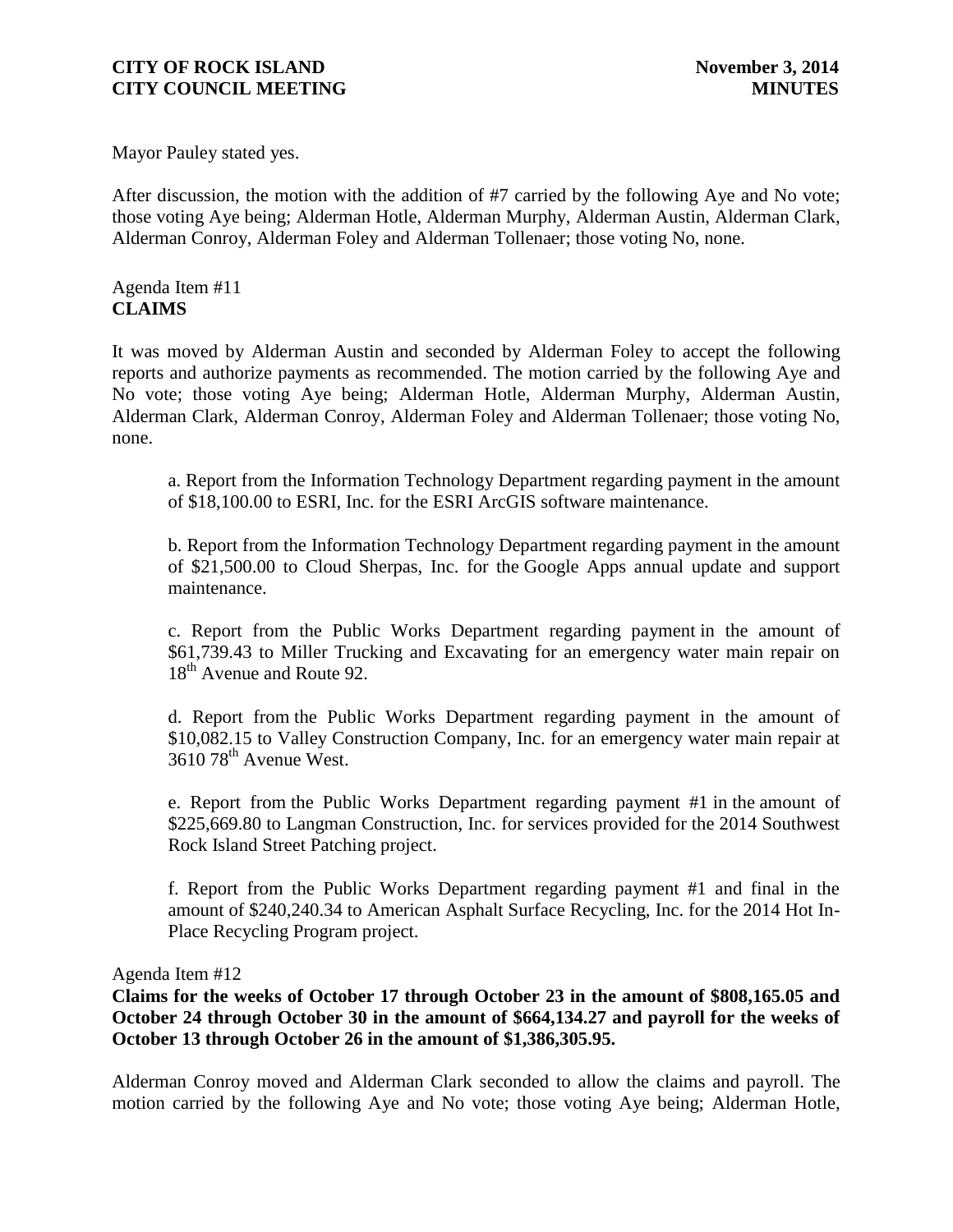Mayor Pauley stated yes.

After discussion, the motion with the addition of #7 carried by the following Aye and No vote; those voting Aye being; Alderman Hotle, Alderman Murphy, Alderman Austin, Alderman Clark, Alderman Conroy, Alderman Foley and Alderman Tollenaer; those voting No, none.

Agenda Item #11 **CLAIMS**

It was moved by Alderman Austin and seconded by Alderman Foley to accept the following reports and authorize payments as recommended. The motion carried by the following Aye and No vote; those voting Aye being; Alderman Hotle, Alderman Murphy, Alderman Austin, Alderman Clark, Alderman Conroy, Alderman Foley and Alderman Tollenaer; those voting No, none.

a. Report from the Information Technology Department regarding payment in the amount of \$18,100.00 to ESRI, Inc. for the ESRI ArcGIS software maintenance.

b. Report from the Information Technology Department regarding payment in the amount of \$21,500.00 to Cloud Sherpas, Inc. for the Google Apps annual update and support maintenance.

c. Report from the Public Works Department regarding payment in the amount of \$61,739.43 to Miller Trucking and Excavating for an emergency water main repair on 18<sup>th</sup> Avenue and Route 92.

d. Report from the Public Works Department regarding payment in the amount of \$10,082.15 to Valley Construction Company, Inc. for an emergency water main repair at 3610 78<sup>th</sup> Avenue West.

e. Report from the Public Works Department regarding payment #1 in the amount of \$225,669.80 to Langman Construction, Inc. for services provided for the 2014 Southwest Rock Island Street Patching project.

f. Report from the Public Works Department regarding payment #1 and final in the amount of \$240,240.34 to American Asphalt Surface Recycling, Inc. for the 2014 Hot In-Place Recycling Program project.

Agenda Item #12

**Claims for the weeks of October 17 through October 23 in the amount of \$808,165.05 and October 24 through October 30 in the amount of \$664,134.27 and payroll for the weeks of October 13 through October 26 in the amount of \$1,386,305.95.**

Alderman Conroy moved and Alderman Clark seconded to allow the claims and payroll. The motion carried by the following Aye and No vote; those voting Aye being; Alderman Hotle,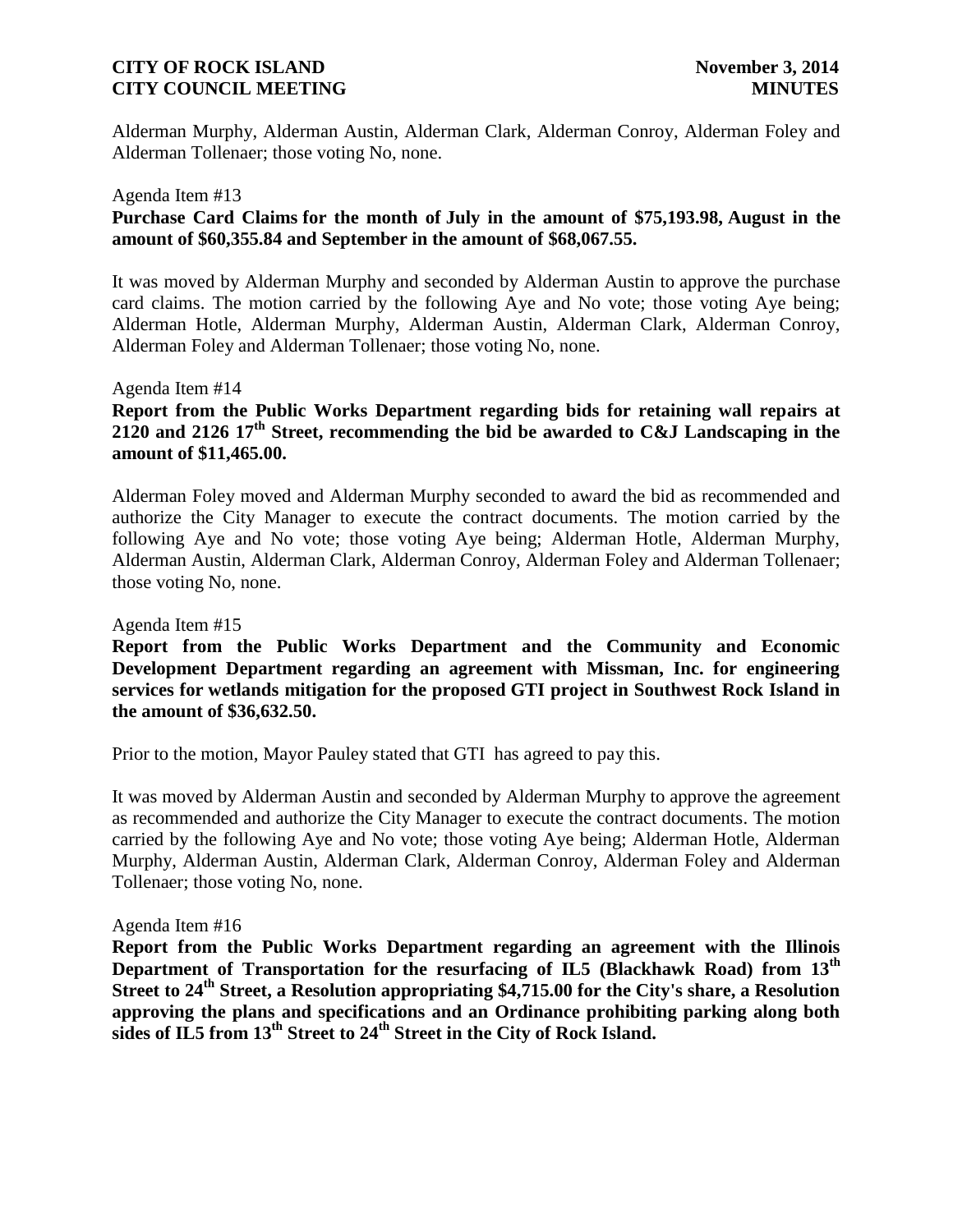Alderman Murphy, Alderman Austin, Alderman Clark, Alderman Conroy, Alderman Foley and Alderman Tollenaer; those voting No, none.

#### Agenda Item #13

## **Purchase Card Claims for the month of July in the amount of \$75,193.98, August in the amount of \$60,355.84 and September in the amount of \$68,067.55.**

It was moved by Alderman Murphy and seconded by Alderman Austin to approve the purchase card claims. The motion carried by the following Aye and No vote; those voting Aye being; Alderman Hotle, Alderman Murphy, Alderman Austin, Alderman Clark, Alderman Conroy, Alderman Foley and Alderman Tollenaer; those voting No, none.

#### Agenda Item #14

# **Report from the Public Works Department regarding bids for retaining wall repairs at 2120 and 2126 17th Street, recommending the bid be awarded to C&J Landscaping in the amount of \$11,465.00.**

Alderman Foley moved and Alderman Murphy seconded to award the bid as recommended and authorize the City Manager to execute the contract documents. The motion carried by the following Aye and No vote; those voting Aye being; Alderman Hotle, Alderman Murphy, Alderman Austin, Alderman Clark, Alderman Conroy, Alderman Foley and Alderman Tollenaer; those voting No, none.

#### Agenda Item #15

**Report from the Public Works Department and the Community and Economic Development Department regarding an agreement with Missman, Inc. for engineering services for wetlands mitigation for the proposed GTI project in Southwest Rock Island in the amount of \$36,632.50.** 

Prior to the motion, Mayor Pauley stated that GTI has agreed to pay this.

It was moved by Alderman Austin and seconded by Alderman Murphy to approve the agreement as recommended and authorize the City Manager to execute the contract documents. The motion carried by the following Aye and No vote; those voting Aye being; Alderman Hotle, Alderman Murphy, Alderman Austin, Alderman Clark, Alderman Conroy, Alderman Foley and Alderman Tollenaer; those voting No, none.

#### Agenda Item #16

**Report from the Public Works Department regarding an agreement with the Illinois Department of Transportation for the resurfacing of IL5 (Blackhawk Road) from 13th Street to 24th Street, a Resolution appropriating \$4,715.00 for the City's share, a Resolution approving the plans and specifications and an Ordinance prohibiting parking along both sides of IL5 from 13th Street to 24th Street in the City of Rock Island.**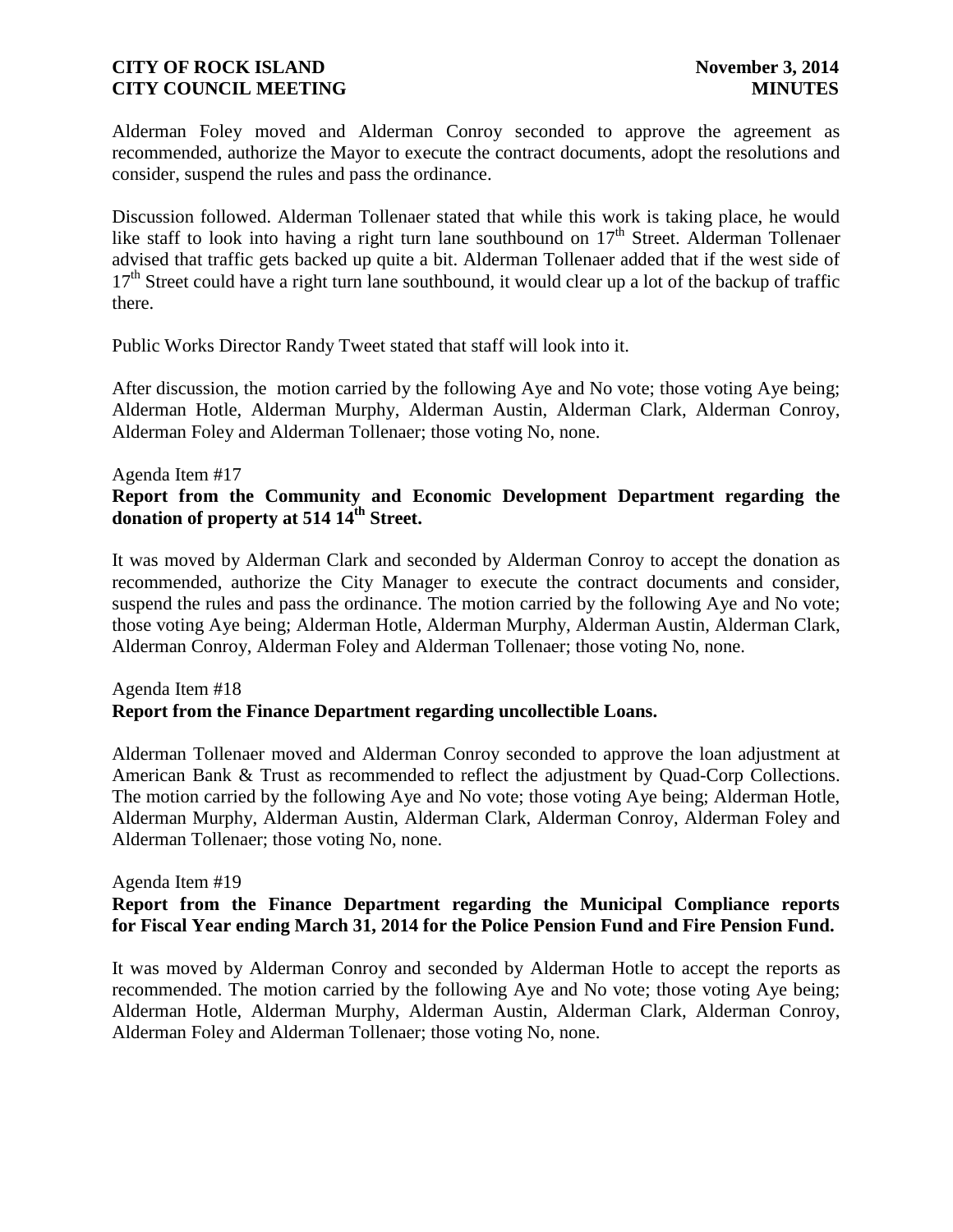Alderman Foley moved and Alderman Conroy seconded to approve the agreement as recommended, authorize the Mayor to execute the contract documents, adopt the resolutions and consider, suspend the rules and pass the ordinance.

Discussion followed. Alderman Tollenaer stated that while this work is taking place, he would like staff to look into having a right turn lane southbound on  $17<sup>th</sup>$  Street. Alderman Tollenaer advised that traffic gets backed up quite a bit. Alderman Tollenaer added that if the west side of  $17<sup>th</sup>$  Street could have a right turn lane southbound, it would clear up a lot of the backup of traffic there.

Public Works Director Randy Tweet stated that staff will look into it.

After discussion, the motion carried by the following Aye and No vote; those voting Aye being; Alderman Hotle, Alderman Murphy, Alderman Austin, Alderman Clark, Alderman Conroy, Alderman Foley and Alderman Tollenaer; those voting No, none.

#### Agenda Item #17

# **Report from the Community and Economic Development Department regarding the donation of property at 514 14th Street.**

It was moved by Alderman Clark and seconded by Alderman Conroy to accept the donation as recommended, authorize the City Manager to execute the contract documents and consider, suspend the rules and pass the ordinance. The motion carried by the following Aye and No vote; those voting Aye being; Alderman Hotle, Alderman Murphy, Alderman Austin, Alderman Clark, Alderman Conroy, Alderman Foley and Alderman Tollenaer; those voting No, none.

# Agenda Item #18 **Report from the Finance Department regarding uncollectible Loans.**

Alderman Tollenaer moved and Alderman Conroy seconded to approve the loan adjustment at American Bank & Trust as recommended to reflect the adjustment by Quad-Corp Collections. The motion carried by the following Aye and No vote; those voting Aye being; Alderman Hotle, Alderman Murphy, Alderman Austin, Alderman Clark, Alderman Conroy, Alderman Foley and Alderman Tollenaer; those voting No, none.

### Agenda Item #19

# **Report from the Finance Department regarding the Municipal Compliance reports for Fiscal Year ending March 31, 2014 for the Police Pension Fund and Fire Pension Fund.**

It was moved by Alderman Conroy and seconded by Alderman Hotle to accept the reports as recommended. The motion carried by the following Aye and No vote; those voting Aye being; Alderman Hotle, Alderman Murphy, Alderman Austin, Alderman Clark, Alderman Conroy, Alderman Foley and Alderman Tollenaer; those voting No, none.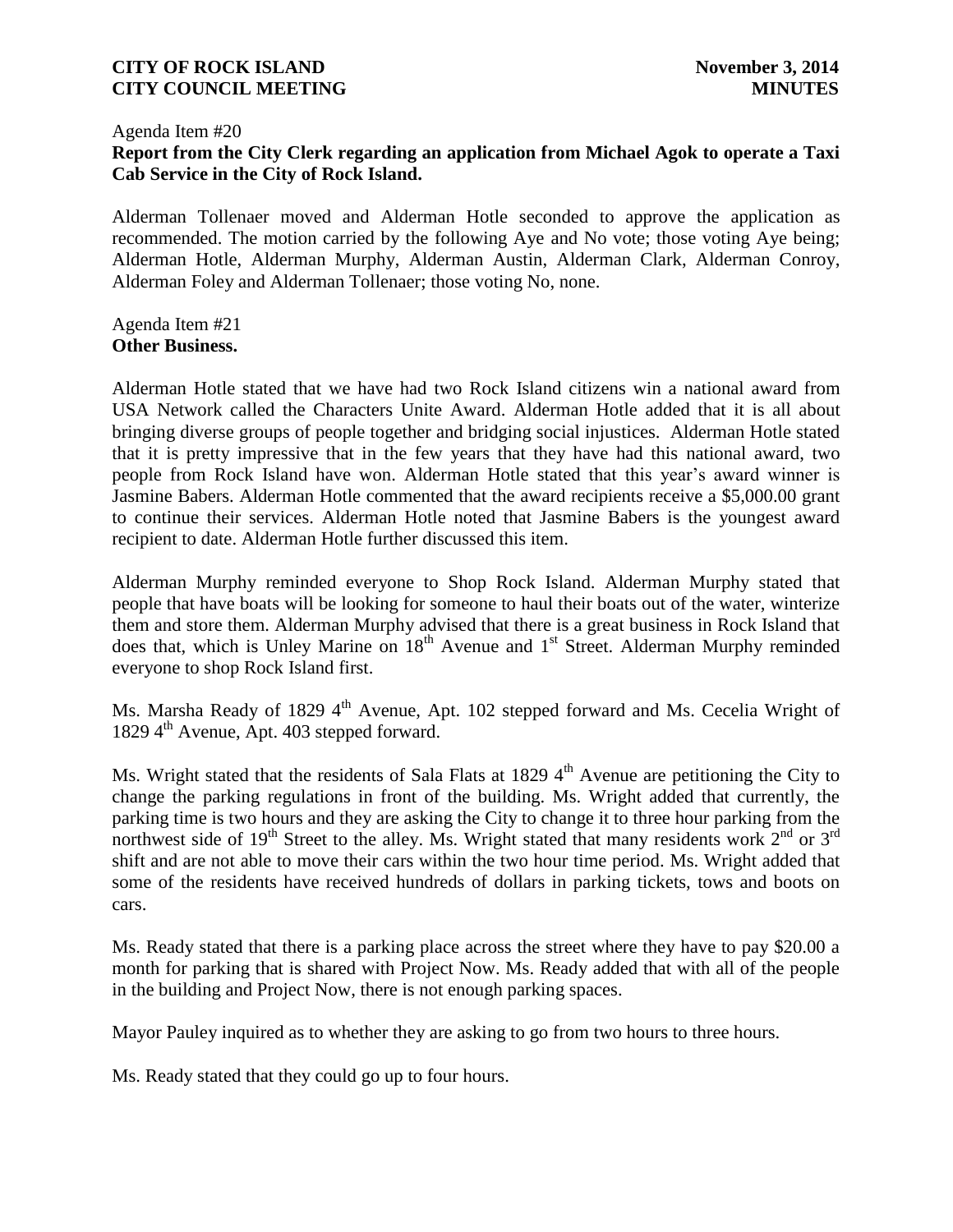#### Agenda Item #20

# **Report from the City Clerk regarding an application from Michael Agok to operate a Taxi Cab Service in the City of Rock Island.**

Alderman Tollenaer moved and Alderman Hotle seconded to approve the application as recommended. The motion carried by the following Aye and No vote; those voting Aye being; Alderman Hotle, Alderman Murphy, Alderman Austin, Alderman Clark, Alderman Conroy, Alderman Foley and Alderman Tollenaer; those voting No, none.

Agenda Item #21 **Other Business.**

Alderman Hotle stated that we have had two Rock Island citizens win a national award from USA Network called the Characters Unite Award. Alderman Hotle added that it is all about bringing diverse groups of people together and bridging social injustices. Alderman Hotle stated that it is pretty impressive that in the few years that they have had this national award, two people from Rock Island have won. Alderman Hotle stated that this year's award winner is Jasmine Babers. Alderman Hotle commented that the award recipients receive a \$5,000.00 grant to continue their services. Alderman Hotle noted that Jasmine Babers is the youngest award recipient to date. Alderman Hotle further discussed this item.

Alderman Murphy reminded everyone to Shop Rock Island. Alderman Murphy stated that people that have boats will be looking for someone to haul their boats out of the water, winterize them and store them. Alderman Murphy advised that there is a great business in Rock Island that does that, which is Unley Marine on  $18<sup>th</sup>$  Avenue and  $1<sup>st</sup>$  Street. Alderman Murphy reminded everyone to shop Rock Island first.

Ms. Marsha Ready of 1829 4<sup>th</sup> Avenue, Apt. 102 stepped forward and Ms. Cecelia Wright of 1829 4<sup>th</sup> Avenue, Apt. 403 stepped forward.

Ms. Wright stated that the residents of Sala Flats at 1829  $4<sup>th</sup>$  Avenue are petitioning the City to change the parking regulations in front of the building. Ms. Wright added that currently, the parking time is two hours and they are asking the City to change it to three hour parking from the northwest side of 19<sup>th</sup> Street to the alley. Ms. Wright stated that many residents work  $2^{nd}$  or  $3^{rd}$ shift and are not able to move their cars within the two hour time period. Ms. Wright added that some of the residents have received hundreds of dollars in parking tickets, tows and boots on cars.

Ms. Ready stated that there is a parking place across the street where they have to pay \$20.00 a month for parking that is shared with Project Now. Ms. Ready added that with all of the people in the building and Project Now, there is not enough parking spaces.

Mayor Pauley inquired as to whether they are asking to go from two hours to three hours.

Ms. Ready stated that they could go up to four hours.